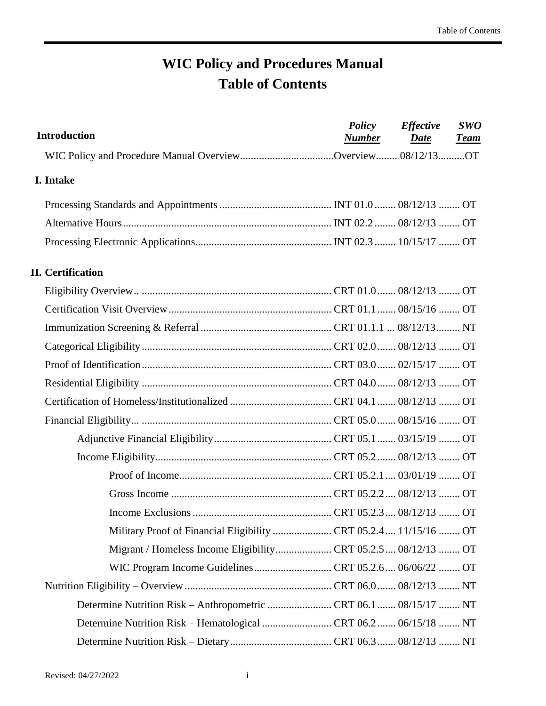# **WIC Policy and Procedures Manual Table of Contents**

| <b>Introduction</b>                                             | <b>Policy</b><br><u>Number</u> | <b>Effective</b><br>Date | <b>SWO</b><br><u>Team</u> |
|-----------------------------------------------------------------|--------------------------------|--------------------------|---------------------------|
|                                                                 |                                |                          |                           |
| I. Intake                                                       |                                |                          |                           |
|                                                                 |                                |                          |                           |
|                                                                 |                                |                          |                           |
|                                                                 |                                |                          |                           |
| <b>II. Certification</b>                                        |                                |                          |                           |
|                                                                 |                                |                          |                           |
|                                                                 |                                |                          |                           |
|                                                                 |                                |                          |                           |
|                                                                 |                                |                          |                           |
|                                                                 |                                |                          |                           |
|                                                                 |                                |                          |                           |
|                                                                 |                                |                          |                           |
|                                                                 |                                |                          |                           |
|                                                                 |                                |                          |                           |
|                                                                 |                                |                          |                           |
|                                                                 |                                |                          |                           |
|                                                                 |                                |                          |                           |
|                                                                 |                                |                          |                           |
| Military Proof of Financial Eligibility CRT 05.2.4 11/15/16  OT |                                |                          |                           |
| Migrant / Homeless Income EligibilityCRT 05.2.5 08/12/13 OT     |                                |                          |                           |
|                                                                 |                                |                          |                           |
|                                                                 |                                |                          |                           |
|                                                                 |                                |                          |                           |
|                                                                 |                                |                          |                           |
|                                                                 |                                |                          |                           |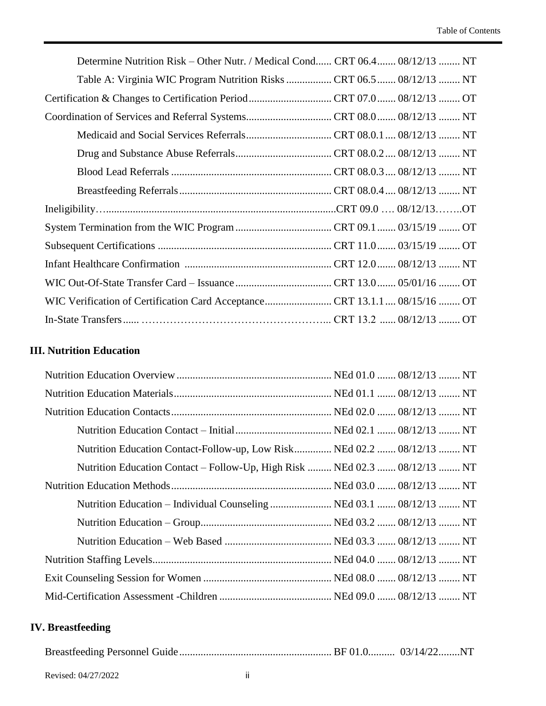| Determine Nutrition Risk – Other Nutr. / Medical Cond CRT 06.4 08/12/13  NT |
|-----------------------------------------------------------------------------|
| Table A: Virginia WIC Program Nutrition Risks  CRT 06.5  08/12/13  NT       |
|                                                                             |
|                                                                             |
|                                                                             |
|                                                                             |
|                                                                             |
|                                                                             |
|                                                                             |
|                                                                             |
|                                                                             |
|                                                                             |
|                                                                             |
|                                                                             |
|                                                                             |

#### **III. Nutrition Education**

| Nutrition Education Contact-Follow-up, Low Risk NEd 02.2  08/12/13  NT     |  |
|----------------------------------------------------------------------------|--|
| Nutrition Education Contact – Follow-Up, High Risk  NEd 02.3  08/12/13  NT |  |
|                                                                            |  |
|                                                                            |  |
|                                                                            |  |
|                                                                            |  |
|                                                                            |  |
|                                                                            |  |
|                                                                            |  |

#### **IV. Breastfeeding**

|--|--|--|--|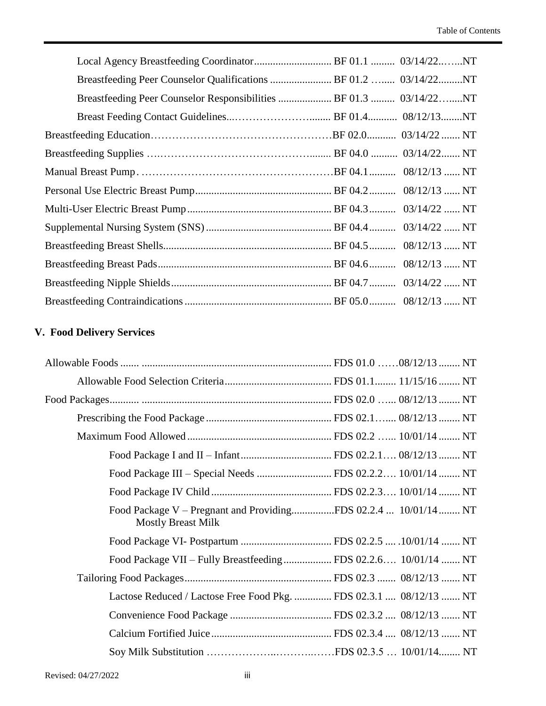| Breastfeeding Peer Counselor Qualifications  BF 01.2  03/14/22NT   |  |
|--------------------------------------------------------------------|--|
| Breastfeeding Peer Counselor Responsibilities  BF 01.3  03/14/22NT |  |
|                                                                    |  |
|                                                                    |  |
|                                                                    |  |
|                                                                    |  |
|                                                                    |  |
|                                                                    |  |
|                                                                    |  |
|                                                                    |  |
|                                                                    |  |
|                                                                    |  |
|                                                                    |  |

## **V. Food Delivery Services**

| Food Package III - Special Needs  FDS 02.2.2 10/01/14  NT                                   |  |
|---------------------------------------------------------------------------------------------|--|
|                                                                                             |  |
| Food Package V - Pregnant and ProvidingFDS 02.2.4  10/01/14 NT<br><b>Mostly Breast Milk</b> |  |
|                                                                                             |  |
| Food Package VII - Fully Breastfeeding FDS 02.2.6 10/01/14  NT                              |  |
|                                                                                             |  |
| Lactose Reduced / Lactose Free Food Pkg.  FDS 02.3.1  08/12/13  NT                          |  |
|                                                                                             |  |
|                                                                                             |  |
|                                                                                             |  |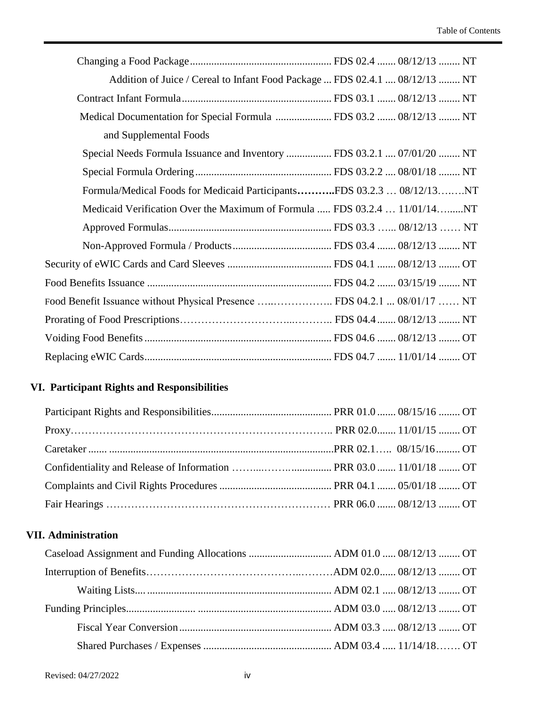| Addition of Juice / Cereal to Infant Food Package  FDS 02.4.1  08/12/13  NT |
|-----------------------------------------------------------------------------|
|                                                                             |
| Medical Documentation for Special Formula  FDS 03.2  08/12/13  NT           |
| and Supplemental Foods                                                      |
| Special Needs Formula Issuance and Inventory  FDS 03.2.1  07/01/20  NT      |
|                                                                             |
| Formula/Medical Foods for Medicaid ParticipantsFDS 03.2.3  08/12/13NT       |
| Medicaid Verification Over the Maximum of Formula  FDS 03.2.4  11/01/14NT   |
|                                                                             |
|                                                                             |
|                                                                             |
|                                                                             |
| Food Benefit Issuance without Physical Presence  FDS 04.2.1  08/01/17  NT   |
|                                                                             |
|                                                                             |
|                                                                             |

#### **VI. Participant Rights and Responsibilities**

#### **VII. Administration**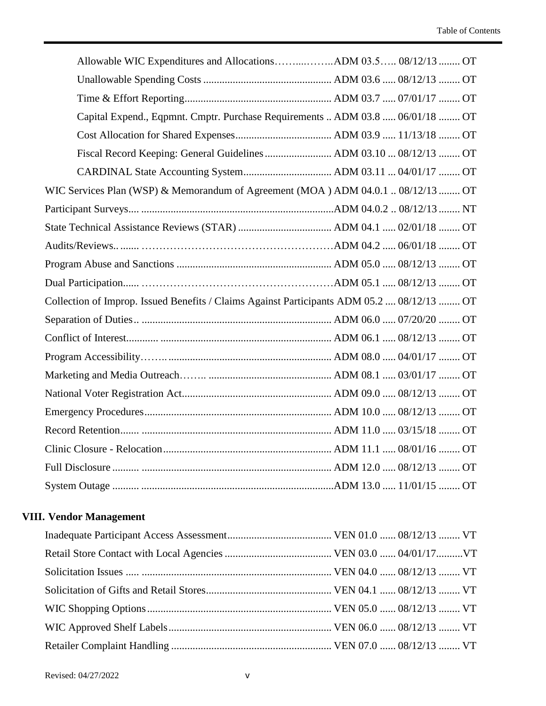| Allowable WIC Expenditures and AllocationsADM 03.5 08/12/13  OT                            |
|--------------------------------------------------------------------------------------------|
|                                                                                            |
|                                                                                            |
| Capital Expend., Eqpmnt. Cmptr. Purchase Requirements  ADM 03.8  06/01/18  OT              |
|                                                                                            |
|                                                                                            |
|                                                                                            |
| WIC Services Plan (WSP) & Memorandum of Agreement (MOA) ADM 04.0.1  08/12/13  OT           |
|                                                                                            |
|                                                                                            |
|                                                                                            |
|                                                                                            |
|                                                                                            |
| Collection of Improp. Issued Benefits / Claims Against Participants ADM 05.2  08/12/13  OT |
|                                                                                            |
|                                                                                            |
|                                                                                            |
|                                                                                            |
|                                                                                            |
|                                                                                            |
|                                                                                            |
|                                                                                            |
|                                                                                            |
|                                                                                            |

### **VIII. Vendor Management**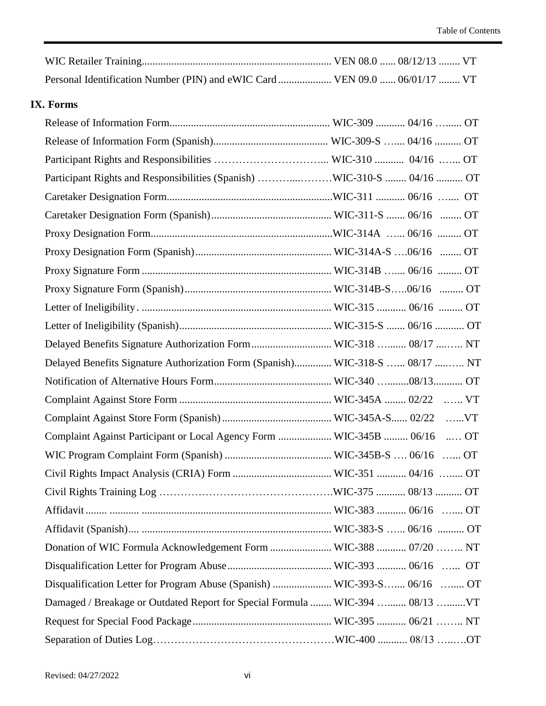| Personal Identification Number (PIN) and eWIC Card  VEN 09.0  06/01/17  VT |  |  |
|----------------------------------------------------------------------------|--|--|

#### **IX. Forms**

| Participant Rights and Responsibilities (Spanish) WIC-310-S  04/16  OT        |  |
|-------------------------------------------------------------------------------|--|
|                                                                               |  |
|                                                                               |  |
|                                                                               |  |
|                                                                               |  |
|                                                                               |  |
|                                                                               |  |
|                                                                               |  |
|                                                                               |  |
| Delayed Benefits Signature Authorization Form WIC-318  08/17  NT              |  |
| Delayed Benefits Signature Authorization Form (Spanish) WIC-318-S  08/17  NT  |  |
|                                                                               |  |
|                                                                               |  |
|                                                                               |  |
| Complaint Against Participant or Local Agency Form  WIC-345B  06/16  OT       |  |
|                                                                               |  |
|                                                                               |  |
|                                                                               |  |
|                                                                               |  |
|                                                                               |  |
| Donation of WIC Formula Acknowledgement Form  WIC-388  07/20  NT              |  |
|                                                                               |  |
| Disqualification Letter for Program Abuse (Spanish)  WIC-393-S 06/16  OT      |  |
| Damaged / Breakage or Outdated Report for Special Formula  WIC-394  08/13  VT |  |
|                                                                               |  |
|                                                                               |  |